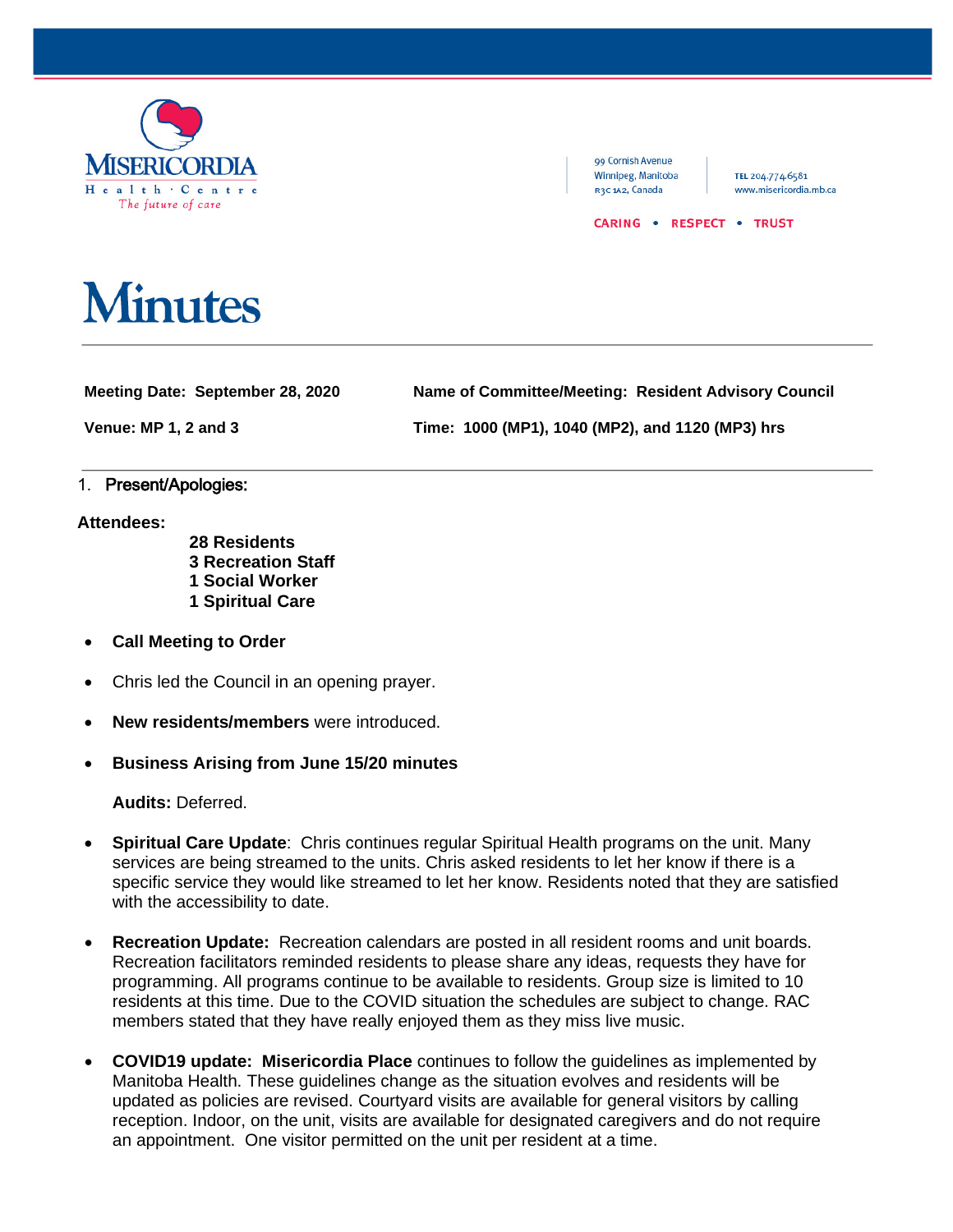

99 Cornish Avenue Winnipeg, Manitoba R3C 1A2, Canada

TEL 204.774.6581 www.misericordia.mb.ca

CARING . RESPECT . TRUST

## **Minutes**

**Meeting Date: September 28, 2020 Name of Committee/Meeting: Resident Advisory Council**

**Venue: MP 1, 2 and 3 Time: 1000 (MP1), 1040 (MP2), and 1120 (MP3) hrs**

## 1. Present/Apologies:

**Attendees:**

- **28 Residents 3 Recreation Staff 1 Social Worker 1 Spiritual Care**
- **Call Meeting to Order**
- Chris led the Council in an opening prayer.
- **New residents/members** were introduced.
- **Business Arising from June 15/20 minutes**

**Audits:** Deferred.

- **Spiritual Care Update**: Chris continues regular Spiritual Health programs on the unit. Many services are being streamed to the units. Chris asked residents to let her know if there is a specific service they would like streamed to let her know. Residents noted that they are satisfied with the accessibility to date.
- **Recreation Update:** Recreation calendars are posted in all resident rooms and unit boards. Recreation facilitators reminded residents to please share any ideas, requests they have for programming. All programs continue to be available to residents. Group size is limited to 10 residents at this time. Due to the COVID situation the schedules are subject to change. RAC members stated that they have really enjoyed them as they miss live music.
- **COVID19 update: Misericordia Place** continues to follow the guidelines as implemented by Manitoba Health. These guidelines change as the situation evolves and residents will be updated as policies are revised. Courtyard visits are available for general visitors by calling reception. Indoor, on the unit, visits are available for designated caregivers and do not require an appointment. One visitor permitted on the unit per resident at a time.